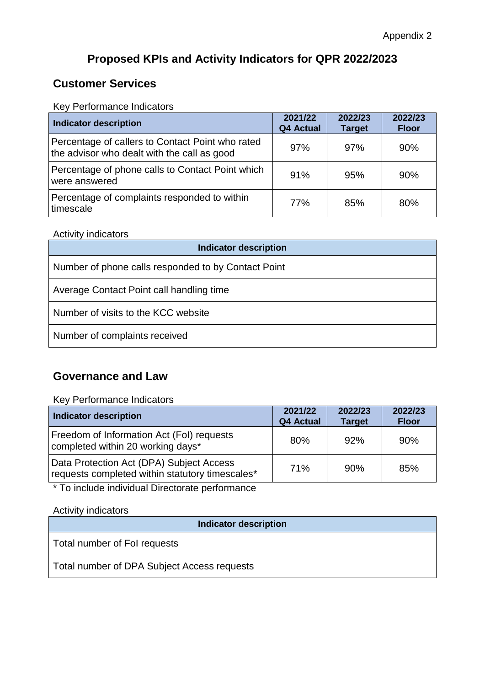# **Proposed KPIs and Activity Indicators for QPR 2022/2023**

## **Customer Services**

Key Performance Indicators

| <b>Indicator description</b>                                                                    | 2021/22<br><b>Q4 Actual</b> | 2022/23<br><b>Target</b> | 2022/23<br><b>Floor</b> |
|-------------------------------------------------------------------------------------------------|-----------------------------|--------------------------|-------------------------|
| Percentage of callers to Contact Point who rated<br>the advisor who dealt with the call as good | 97%                         | 97%                      | 90%                     |
| Percentage of phone calls to Contact Point which<br>were answered                               | 91%                         | 95%                      | 90%                     |
| Percentage of complaints responded to within<br>timescale                                       | 77%                         | 85%                      | 80%                     |

#### Activity indicators

| <b>Indicator description</b>                        |
|-----------------------------------------------------|
| Number of phone calls responded to by Contact Point |
| Average Contact Point call handling time            |
| Number of visits to the KCC website                 |
| Number of complaints received                       |

### **Governance and Law**

Key Performance Indicators

| Indicator description                                                                       | 2021/22<br>Q4 Actual | 2022/23<br><b>Target</b> | 2022/23<br><b>Floor</b> |
|---------------------------------------------------------------------------------------------|----------------------|--------------------------|-------------------------|
| Freedom of Information Act (Fol) requests<br>completed within 20 working days*              | 80%                  | 92%                      | 90%                     |
| Data Protection Act (DPA) Subject Access<br>requests completed within statutory timescales* | 71%                  | 90%                      | 85%                     |

\* To include individual Directorate performance

Activity indicators

| <b>Indicator description</b>                |
|---------------------------------------------|
| Total number of Fol requests                |
| Total number of DPA Subject Access requests |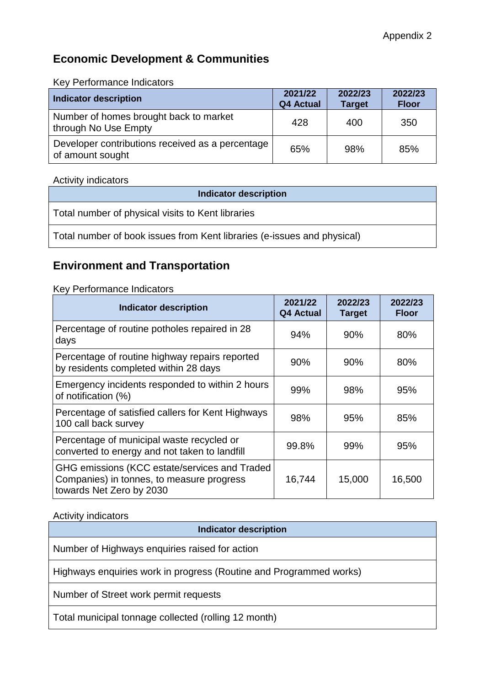# **Economic Development & Communities**

Key Performance Indicators

| <b>Indicator description</b>                                         | 2021/22<br>Q4 Actual | 2022/23<br><b>Target</b> | 2022/23<br><b>Floor</b> |
|----------------------------------------------------------------------|----------------------|--------------------------|-------------------------|
| Number of homes brought back to market<br>through No Use Empty       | 428                  | 400                      | 350                     |
| Developer contributions received as a percentage<br>of amount sought | 65%                  | 98%                      | 85%                     |

### Activity indicators

| <b>Indicator description</b>                                            |
|-------------------------------------------------------------------------|
| Total number of physical visits to Kent libraries                       |
| Total number of book issues from Kent libraries (e-issues and physical) |

# **Environment and Transportation**

Key Performance Indicators

| <b>Indicator description</b>                                                                                           | 2021/22<br><b>Q4 Actual</b> | 2022/23<br><b>Target</b> | 2022/23<br><b>Floor</b> |
|------------------------------------------------------------------------------------------------------------------------|-----------------------------|--------------------------|-------------------------|
| Percentage of routine potholes repaired in 28<br>days                                                                  | 94%                         | 90%                      | 80%                     |
| Percentage of routine highway repairs reported<br>by residents completed within 28 days                                | 90%                         | 90%                      | 80%                     |
| Emergency incidents responded to within 2 hours<br>of notification (%)                                                 | 99%                         | 98%                      | 95%                     |
| Percentage of satisfied callers for Kent Highways<br>100 call back survey                                              | 98%                         | 95%                      | 85%                     |
| Percentage of municipal waste recycled or<br>converted to energy and not taken to landfill                             | 99.8%                       | 99%                      | 95%                     |
| GHG emissions (KCC estate/services and Traded<br>Companies) in tonnes, to measure progress<br>towards Net Zero by 2030 | 16,744                      | 15,000                   | 16,500                  |

### Activity indicators

#### **Indicator description**

Number of Highways enquiries raised for action

Highways enquiries work in progress (Routine and Programmed works)

Number of Street work permit requests

Total municipal tonnage collected (rolling 12 month)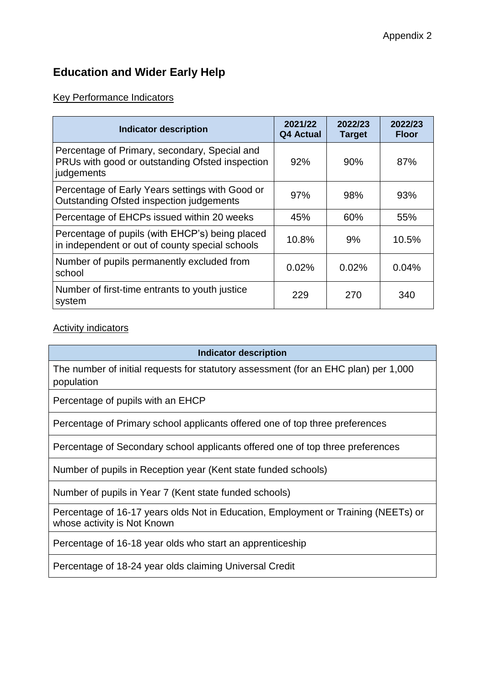# **Education and Wider Early Help**

### Key Performance Indicators

| <b>Indicator description</b>                                                                                   | 2021/22<br><b>Q4 Actual</b> | 2022/23<br><b>Target</b> | 2022/23<br><b>Floor</b> |
|----------------------------------------------------------------------------------------------------------------|-----------------------------|--------------------------|-------------------------|
| Percentage of Primary, secondary, Special and<br>PRUs with good or outstanding Ofsted inspection<br>judgements | 92%                         | 90%                      | 87%                     |
| Percentage of Early Years settings with Good or<br>Outstanding Ofsted inspection judgements                    | 97%                         | 98%                      | 93%                     |
| Percentage of EHCPs issued within 20 weeks                                                                     | 45%                         | 60%                      | 55%                     |
| Percentage of pupils (with EHCP's) being placed<br>in independent or out of county special schools             | 10.8%                       | 9%                       | 10.5%                   |
| Number of pupils permanently excluded from<br>school                                                           | 0.02%                       | 0.02%                    | 0.04%                   |
| Number of first-time entrants to youth justice<br>system                                                       | 229                         | 270                      | 340                     |

### Activity indicators

**Indicator description**

The number of initial requests for statutory assessment (for an EHC plan) per 1,000 population

Percentage of pupils with an EHCP

Percentage of Primary school applicants offered one of top three preferences

Percentage of Secondary school applicants offered one of top three preferences

Number of pupils in Reception year (Kent state funded schools)

Number of pupils in Year 7 (Kent state funded schools)

Percentage of 16-17 years olds Not in Education, Employment or Training (NEETs) or whose activity is Not Known

Percentage of 16-18 year olds who start an apprenticeship

Percentage of 18-24 year olds claiming Universal Credit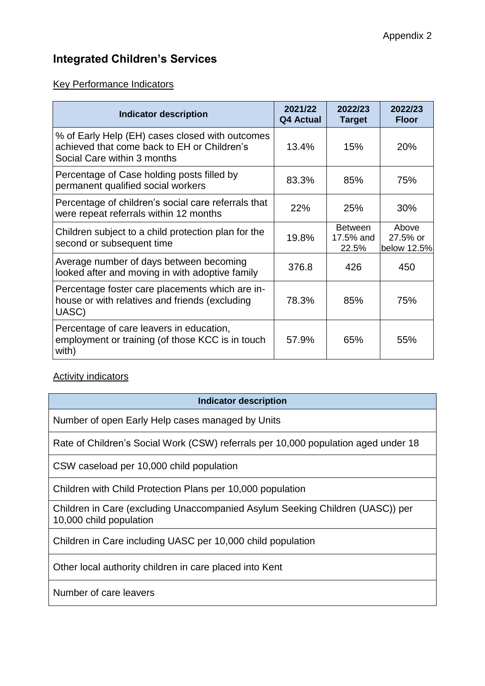## **Integrated Children's Services**

### Key Performance Indicators

| <b>Indicator description</b>                                                                                                  | 2021/22<br><b>Q4 Actual</b> | 2022/23<br><b>Target</b>             | 2022/23<br><b>Floor</b>          |
|-------------------------------------------------------------------------------------------------------------------------------|-----------------------------|--------------------------------------|----------------------------------|
| % of Early Help (EH) cases closed with outcomes<br>achieved that come back to EH or Children's<br>Social Care within 3 months | 13.4%                       | 15%                                  | <b>20%</b>                       |
| Percentage of Case holding posts filled by<br>permanent qualified social workers                                              | 83.3%                       | 85%                                  | 75%                              |
| Percentage of children's social care referrals that<br>were repeat referrals within 12 months                                 | 22%                         | 25%                                  | 30%                              |
| Children subject to a child protection plan for the<br>second or subsequent time                                              | 19.8%                       | <b>Between</b><br>17.5% and<br>22.5% | Above<br>27.5% or<br>below 12.5% |
| Average number of days between becoming<br>looked after and moving in with adoptive family                                    | 376.8                       | 426                                  | 450                              |
| Percentage foster care placements which are in-<br>house or with relatives and friends (excluding<br>UASC)                    | 78.3%                       | 85%                                  | 75%                              |
| Percentage of care leavers in education,<br>employment or training (of those KCC is in touch<br>with)                         | 57.9%                       | 65%                                  | 55%                              |

### **Activity indicators**

#### **Indicator description**

Number of open Early Help cases managed by Units

Rate of Children's Social Work (CSW) referrals per 10,000 population aged under 18

CSW caseload per 10,000 child population

Children with Child Protection Plans per 10,000 population

Children in Care (excluding Unaccompanied Asylum Seeking Children (UASC)) per 10,000 child population

Children in Care including UASC per 10,000 child population

Other local authority children in care placed into Kent

Number of care leavers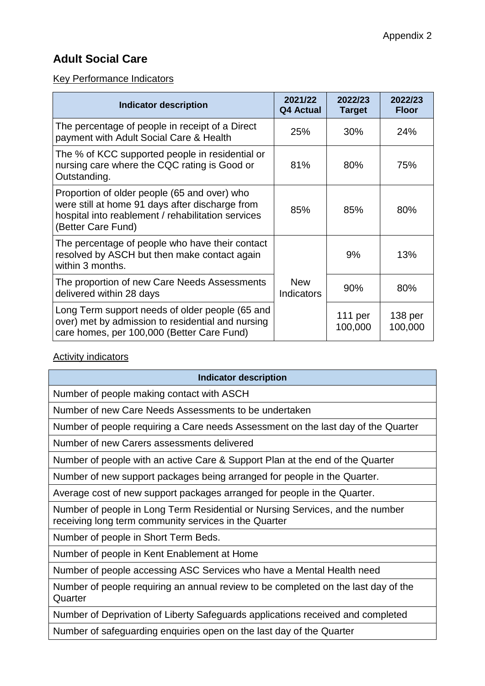# **Adult Social Care**

### Key Performance Indicators

| <b>Indicator description</b>                                                                                                                                                | 2021/22<br><b>Q4 Actual</b>     | 2022/23<br><b>Target</b> | 2022/23<br><b>Floor</b>       |
|-----------------------------------------------------------------------------------------------------------------------------------------------------------------------------|---------------------------------|--------------------------|-------------------------------|
| The percentage of people in receipt of a Direct<br>payment with Adult Social Care & Health                                                                                  | 25%                             | 30%                      | 24%                           |
| The % of KCC supported people in residential or<br>nursing care where the CQC rating is Good or<br>Outstanding.                                                             | 81%                             | 80%                      | 75%                           |
| Proportion of older people (65 and over) who<br>were still at home 91 days after discharge from<br>hospital into reablement / rehabilitation services<br>(Better Care Fund) | 85%                             | 85%                      | 80%                           |
| The percentage of people who have their contact<br>resolved by ASCH but then make contact again<br>within 3 months.                                                         |                                 | 9%                       | 13%                           |
| The proportion of new Care Needs Assessments<br>delivered within 28 days                                                                                                    | <b>New</b><br><b>Indicators</b> | 90%                      | 80%                           |
| Long Term support needs of older people (65 and<br>over) met by admission to residential and nursing<br>care homes, per 100,000 (Better Care Fund)                          |                                 | 111 per<br>100,000       | 138 <sub>per</sub><br>100,000 |

## **Activity indicators**

| <b>Indicator description</b>                                                                                                           |
|----------------------------------------------------------------------------------------------------------------------------------------|
| Number of people making contact with ASCH                                                                                              |
| Number of new Care Needs Assessments to be undertaken                                                                                  |
| Number of people requiring a Care needs Assessment on the last day of the Quarter                                                      |
| Number of new Carers assessments delivered                                                                                             |
| Number of people with an active Care & Support Plan at the end of the Quarter                                                          |
| Number of new support packages being arranged for people in the Quarter.                                                               |
| Average cost of new support packages arranged for people in the Quarter.                                                               |
| Number of people in Long Term Residential or Nursing Services, and the number<br>receiving long term community services in the Quarter |
| Number of people in Short Term Beds.                                                                                                   |
| Number of people in Kent Enablement at Home                                                                                            |
| Number of people accessing ASC Services who have a Mental Health need                                                                  |
| Number of people requiring an annual review to be completed on the last day of the<br>Quarter                                          |
| Number of Deprivation of Liberty Cofequerde opplications resoured and completed                                                        |

Number of Deprivation of Liberty Safeguards applications received and completed

Number of safeguarding enquiries open on the last day of the Quarter